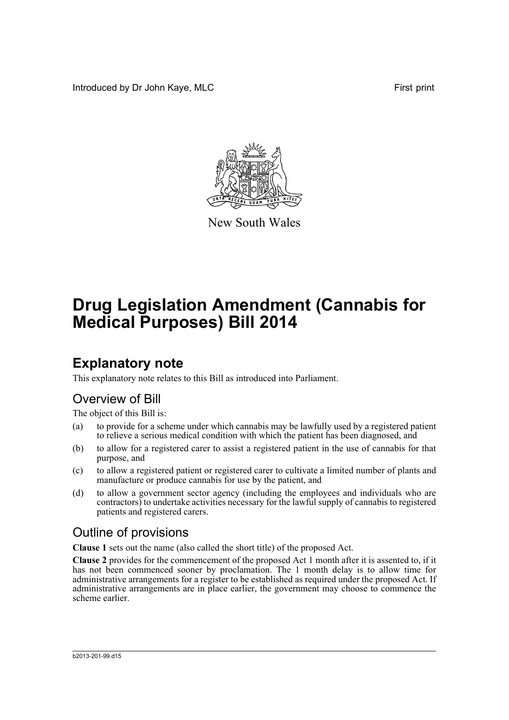Introduced by Dr John Kaye, MLC First print



New South Wales

# **Drug Legislation Amendment (Cannabis for Medical Purposes) Bill 2014**

# **Explanatory note**

This explanatory note relates to this Bill as introduced into Parliament.

## Overview of Bill

The object of this Bill is:

- (a) to provide for a scheme under which cannabis may be lawfully used by a registered patient to relieve a serious medical condition with which the patient has been diagnosed, and
- (b) to allow for a registered carer to assist a registered patient in the use of cannabis for that purpose, and
- (c) to allow a registered patient or registered carer to cultivate a limited number of plants and manufacture or produce cannabis for use by the patient, and
- (d) to allow a government sector agency (including the employees and individuals who are contractors) to undertake activities necessary for the lawful supply of cannabis to registered patients and registered carers.

## Outline of provisions

**Clause 1** sets out the name (also called the short title) of the proposed Act.

**Clause 2** provides for the commencement of the proposed Act 1 month after it is assented to, if it has not been commenced sooner by proclamation. The 1 month delay is to allow time for administrative arrangements for a register to be established as required under the proposed Act. If administrative arrangements are in place earlier, the government may choose to commence the scheme earlier.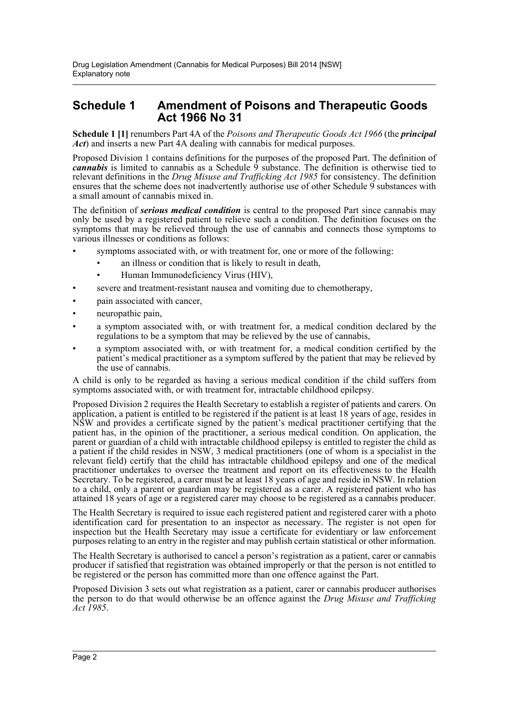### **Schedule 1 Amendment of Poisons and Therapeutic Goods Act 1966 No 31**

**Schedule 1 [1]** renumbers Part 4A of the *Poisons and Therapeutic Goods Act 1966* (the *principal Act*) and inserts a new Part 4A dealing with cannabis for medical purposes.

Proposed Division 1 contains definitions for the purposes of the proposed Part. The definition of *cannabis* is limited to cannabis as a Schedule 9 substance. The definition is otherwise tied to relevant definitions in the *Drug Misuse and Trafficking Act 1985* for consistency. The definition ensures that the scheme does not inadvertently authorise use of other Schedule 9 substances with a small amount of cannabis mixed in.

The definition of *serious medical condition* is central to the proposed Part since cannabis may only be used by a registered patient to relieve such a condition. The definition focuses on the symptoms that may be relieved through the use of cannabis and connects those symptoms to various illnesses or conditions as follows:

- symptoms associated with, or with treatment for, one or more of the following:
	- an illness or condition that is likely to result in death.
		- Human Immunodeficiency Virus (HIV),
- severe and treatment-resistant nausea and vomiting due to chemotherapy,
- pain associated with cancer,
- neuropathic pain,
- a symptom associated with, or with treatment for, a medical condition declared by the regulations to be a symptom that may be relieved by the use of cannabis,
- a symptom associated with, or with treatment for, a medical condition certified by the patient's medical practitioner as a symptom suffered by the patient that may be relieved by the use of cannabis.

A child is only to be regarded as having a serious medical condition if the child suffers from symptoms associated with, or with treatment for, intractable childhood epilepsy.

Proposed Division 2 requires the Health Secretary to establish a register of patients and carers. On application, a patient is entitled to be registered if the patient is at least 18 years of age, resides in NSW and provides a certificate signed by the patient's medical practitioner certifying that the patient has, in the opinion of the practitioner, a serious medical condition. On application, the parent or guardian of a child with intractable childhood epilepsy is entitled to register the child as a patient if the child resides in NSW, 3 medical practitioners (one of whom is a specialist in the relevant field) certify that the child has intractable childhood epilepsy and one of the medical practitioner undertakes to oversee the treatment and report on its effectiveness to the Health Secretary. To be registered, a carer must be at least 18 years of age and reside in NSW. In relation to a child, only a parent or guardian may be registered as a carer. A registered patient who has attained 18 years of age or a registered carer may choose to be registered as a cannabis producer.

The Health Secretary is required to issue each registered patient and registered carer with a photo identification card for presentation to an inspector as necessary. The register is not open for inspection but the Health Secretary may issue a certificate for evidentiary or law enforcement purposes relating to an entry in the register and may publish certain statistical or other information.

The Health Secretary is authorised to cancel a person's registration as a patient, carer or cannabis producer if satisfied that registration was obtained improperly or that the person is not entitled to be registered or the person has committed more than one offence against the Part.

Proposed Division 3 sets out what registration as a patient, carer or cannabis producer authorises the person to do that would otherwise be an offence against the *Drug Misuse and Trafficking Act 1985*.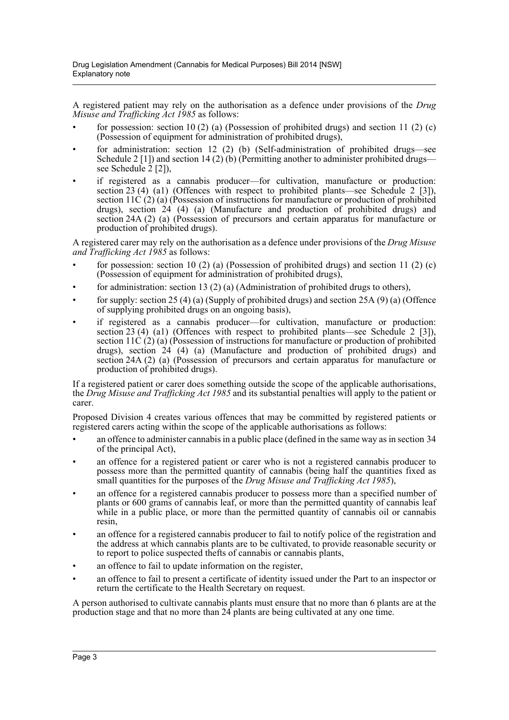A registered patient may rely on the authorisation as a defence under provisions of the *Drug Misuse and Trafficking Act 1985* as follows:

- for possession: section 10 (2) (a) (Possession of prohibited drugs) and section 11 (2) (c) (Possession of equipment for administration of prohibited drugs),
- for administration: section 12 (2) (b) (Self-administration of prohibited drugs—see Schedule 2 [1]) and section 14 (2) (b) (Permitting another to administer prohibited drugs see Schedule  $2$  [2]),
- if registered as a cannabis producer—for cultivation, manufacture or production: section 23 (4) (a1) (Offences with respect to prohibited plants—see Schedule 2 [3]), section 11C  $(2)$  (a) (Possession of instructions for manufacture or production of prohibited drugs), section  $24$  (4) (a) (Manufacture and production of prohibited drugs) and section 24A (2) (a) (Possession of precursors and certain apparatus for manufacture or production of prohibited drugs).

A registered carer may rely on the authorisation as a defence under provisions of the *Drug Misuse and Trafficking Act 1985* as follows:

- for possession: section 10 (2) (a) (Possession of prohibited drugs) and section 11 (2) (c) (Possession of equipment for administration of prohibited drugs),
- for administration: section 13 (2) (a) (Administration of prohibited drugs to others),
- for supply: section 25 (4) (a) (Supply of prohibited drugs) and section 25A (9) (a) (Offence of supplying prohibited drugs on an ongoing basis),
- if registered as a cannabis producer—for cultivation, manufacture or production: section 23 (4) (a1) (Offences with respect to prohibited plants—see Schedule 2 [3]), section 11C  $(2)$  (a) (Possession of instructions for manufacture or production of prohibited drugs), section  $24 (4)$  (a) (Manufacture and production of prohibited drugs) and section 24A (2) (a) (Possession of precursors and certain apparatus for manufacture or production of prohibited drugs).

If a registered patient or carer does something outside the scope of the applicable authorisations, the *Drug Misuse and Trafficking Act 1985* and its substantial penalties will apply to the patient or carer.

Proposed Division 4 creates various offences that may be committed by registered patients or registered carers acting within the scope of the applicable authorisations as follows:

- an offence to administer cannabis in a public place (defined in the same way as in section 34 of the principal Act),
- an offence for a registered patient or carer who is not a registered cannabis producer to possess more than the permitted quantity of cannabis (being half the quantities fixed as small quantities for the purposes of the *Drug Misuse and Trafficking Act 1985*),
- an offence for a registered cannabis producer to possess more than a specified number of plants or 600 grams of cannabis leaf, or more than the permitted quantity of cannabis leaf while in a public place, or more than the permitted quantity of cannabis oil or cannabis resin,
- an offence for a registered cannabis producer to fail to notify police of the registration and the address at which cannabis plants are to be cultivated, to provide reasonable security or to report to police suspected thefts of cannabis or cannabis plants,
- an offence to fail to update information on the register,
- an offence to fail to present a certificate of identity issued under the Part to an inspector or return the certificate to the Health Secretary on request.

A person authorised to cultivate cannabis plants must ensure that no more than 6 plants are at the production stage and that no more than 24 plants are being cultivated at any one time.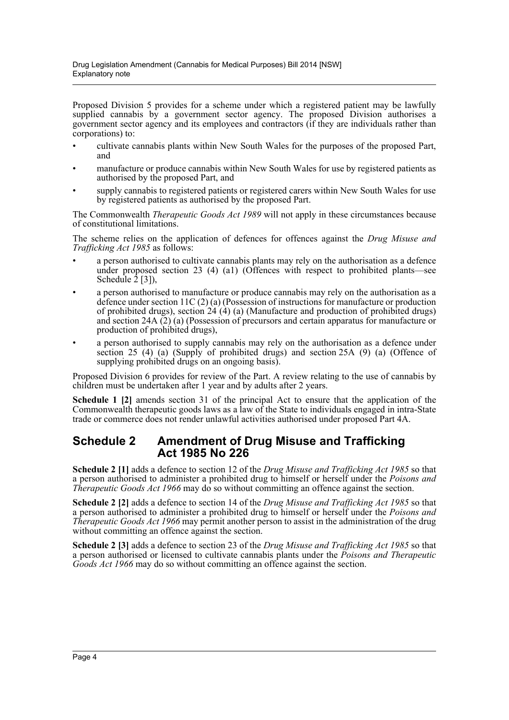Proposed Division 5 provides for a scheme under which a registered patient may be lawfully supplied cannabis by a government sector agency. The proposed Division authorises a government sector agency and its employees and contractors (if they are individuals rather than corporations) to:

- cultivate cannabis plants within New South Wales for the purposes of the proposed Part, and
- manufacture or produce cannabis within New South Wales for use by registered patients as authorised by the proposed Part, and
- supply cannabis to registered patients or registered carers within New South Wales for use by registered patients as authorised by the proposed Part.

The Commonwealth *Therapeutic Goods Act 1989* will not apply in these circumstances because of constitutional limitations.

The scheme relies on the application of defences for offences against the *Drug Misuse and Trafficking Act 1985* as follows:

- a person authorised to cultivate cannabis plants may rely on the authorisation as a defence under proposed section 23 (4) (a1) (Offences with respect to prohibited plants—see Schedule 2<sup>[3]</sup>),
- a person authorised to manufacture or produce cannabis may rely on the authorisation as a defence under section 11C (2) (a) (Possession of instructions for manufacture or production of prohibited drugs), section  $24 \cdot (4)$  (a) (Manufacture and production of prohibited drugs) and section 24A (2) (a) (Possession of precursors and certain apparatus for manufacture or production of prohibited drugs),
- a person authorised to supply cannabis may rely on the authorisation as a defence under section 25 (4) (a) (Supply of prohibited drugs) and section 25A (9) (a) (Offence of supplying prohibited drugs on an ongoing basis).

Proposed Division 6 provides for review of the Part. A review relating to the use of cannabis by children must be undertaken after 1 year and by adults after 2 years.

**Schedule 1 [2]** amends section 31 of the principal Act to ensure that the application of the Commonwealth therapeutic goods laws as a law of the State to individuals engaged in intra-State trade or commerce does not render unlawful activities authorised under proposed Part 4A.

#### **Schedule 2 Amendment of Drug Misuse and Trafficking Act 1985 No 226**

**Schedule 2 [1]** adds a defence to section 12 of the *Drug Misuse and Trafficking Act 1985* so that a person authorised to administer a prohibited drug to himself or herself under the *Poisons and Therapeutic Goods Act 1966* may do so without committing an offence against the section.

**Schedule 2 [2]** adds a defence to section 14 of the *Drug Misuse and Trafficking Act 1985* so that a person authorised to administer a prohibited drug to himself or herself under the *Poisons and Therapeutic Goods Act 1966* may permit another person to assist in the administration of the drug without committing an offence against the section.

**Schedule 2 [3]** adds a defence to section 23 of the *Drug Misuse and Trafficking Act 1985* so that a person authorised or licensed to cultivate cannabis plants under the *Poisons and Therapeutic Goods Act 1966* may do so without committing an offence against the section.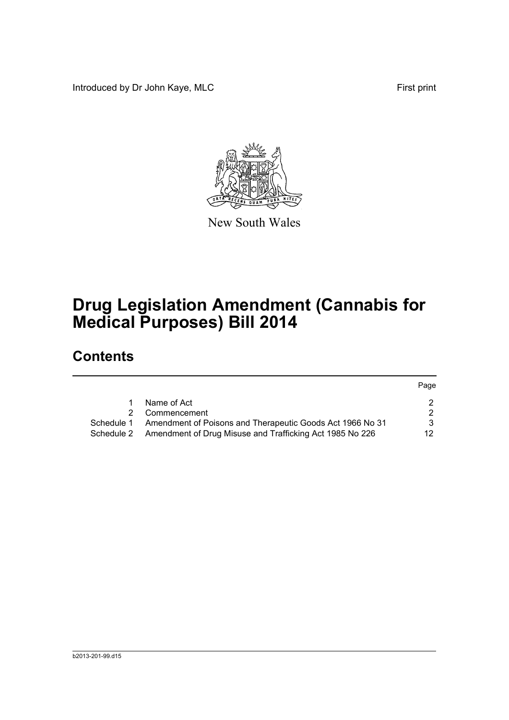Introduced by Dr John Kaye, MLC First print



New South Wales

# **Drug Legislation Amendment (Cannabis for Medical Purposes) Bill 2014**

## **Contents**

|            |                                                           | Page |
|------------|-----------------------------------------------------------|------|
|            | Name of Act                                               | 2.   |
| 2.         | Commencement                                              | 2.   |
| Schedule 1 | Amendment of Poisons and Therapeutic Goods Act 1966 No 31 | 3    |
| Schedule 2 | Amendment of Drug Misuse and Trafficking Act 1985 No 226  | 12.  |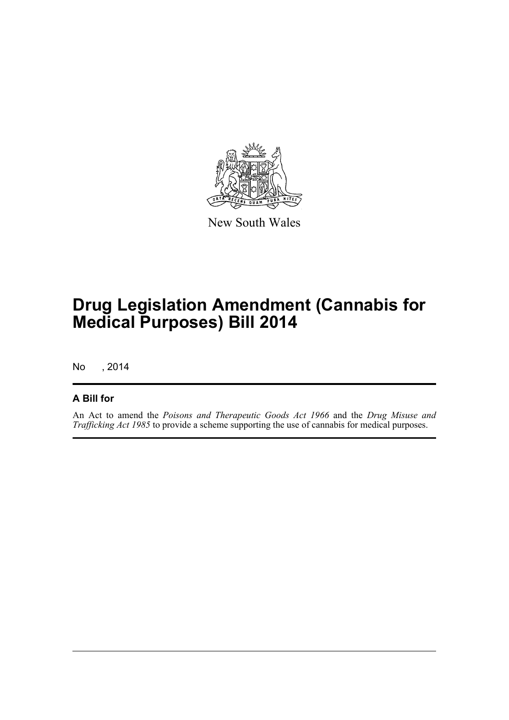

New South Wales

# **Drug Legislation Amendment (Cannabis for Medical Purposes) Bill 2014**

No , 2014

#### **A Bill for**

An Act to amend the *Poisons and Therapeutic Goods Act 1966* and the *Drug Misuse and Trafficking Act 1985* to provide a scheme supporting the use of cannabis for medical purposes.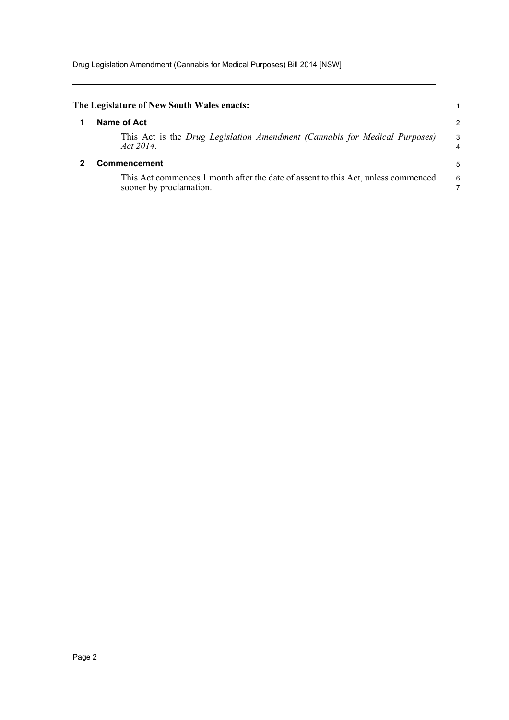<span id="page-6-1"></span><span id="page-6-0"></span>

| The Legislature of New South Wales enacts:                                                                   |               |
|--------------------------------------------------------------------------------------------------------------|---------------|
| Name of Act                                                                                                  | $\mathcal{P}$ |
| This Act is the Drug Legislation Amendment (Cannabis for Medical Purposes)<br>Act 2014.                      | 3             |
| Commencement                                                                                                 | 5             |
| This Act commences 1 month after the date of assent to this Act, unless commenced<br>sooner by proclamation. | 6             |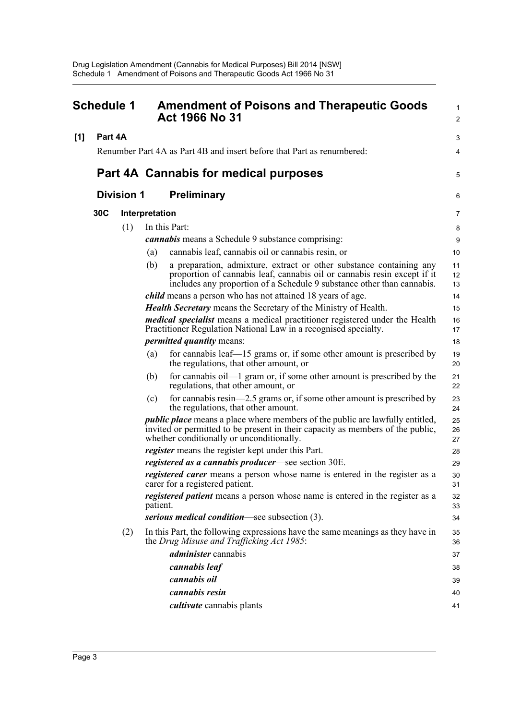<span id="page-7-0"></span>

| <b>Schedule 1</b> |         |                   | <b>Amendment of Poisons and Therapeutic Goods</b><br><b>Act 1966 No 31</b> | 1<br>$\overline{c}$                                                                                                                                                                                                       |                |
|-------------------|---------|-------------------|----------------------------------------------------------------------------|---------------------------------------------------------------------------------------------------------------------------------------------------------------------------------------------------------------------------|----------------|
| [1]               | Part 4A |                   |                                                                            |                                                                                                                                                                                                                           | 3              |
|                   |         |                   |                                                                            | Renumber Part 4A as Part 4B and insert before that Part as renumbered:                                                                                                                                                    | 4              |
|                   |         |                   |                                                                            | Part 4A Cannabis for medical purposes                                                                                                                                                                                     | 5              |
|                   |         | <b>Division 1</b> |                                                                            | <b>Preliminary</b>                                                                                                                                                                                                        | 6              |
|                   | 30C     |                   | Interpretation                                                             |                                                                                                                                                                                                                           | 7              |
|                   |         | (1)               |                                                                            | In this Part:                                                                                                                                                                                                             | 8              |
|                   |         |                   |                                                                            | <i>cannabis</i> means a Schedule 9 substance comprising:                                                                                                                                                                  | 9              |
|                   |         |                   | (a)                                                                        | cannabis leaf, cannabis oil or cannabis resin, or                                                                                                                                                                         | 10             |
|                   |         |                   | (b)                                                                        | a preparation, admixture, extract or other substance containing any<br>proportion of cannabis leaf, cannabis oil or cannabis resin except if it<br>includes any proportion of a Schedule 9 substance other than cannabis. | 11<br>12<br>13 |
|                   |         |                   |                                                                            | <i>child</i> means a person who has not attained 18 years of age.                                                                                                                                                         | 14             |
|                   |         |                   |                                                                            | <b>Health Secretary</b> means the Secretary of the Ministry of Health.                                                                                                                                                    | 15             |
|                   |         |                   |                                                                            | medical specialist means a medical practitioner registered under the Health<br>Practitioner Regulation National Law in a recognised specialty.                                                                            | 16<br>17       |
|                   |         |                   |                                                                            | <i>permitted quantity means:</i>                                                                                                                                                                                          | 18             |
|                   |         |                   | (a)                                                                        | for cannabis leaf—15 grams or, if some other amount is prescribed by<br>the regulations, that other amount, or                                                                                                            | 19<br>20       |
|                   |         |                   | (b)                                                                        | for cannabis oil—1 gram or, if some other amount is prescribed by the<br>regulations, that other amount, or                                                                                                               | 21<br>22       |
|                   |         |                   | (c)                                                                        | for cannabis resin—2.5 grams or, if some other amount is prescribed by<br>the regulations, that other amount.                                                                                                             | 23<br>24       |
|                   |         |                   |                                                                            | <i>public place</i> means a place where members of the public are lawfully entitled,<br>invited or permitted to be present in their capacity as members of the public,<br>whether conditionally or unconditionally.       | 25<br>26<br>27 |
|                   |         |                   |                                                                            | <i>register</i> means the register kept under this Part.                                                                                                                                                                  | 28             |
|                   |         |                   |                                                                            | <i>registered as a cannabis producer</i> —see section 30E.                                                                                                                                                                | 29             |
|                   |         |                   |                                                                            | <i>registered carer</i> means a person whose name is entered in the register as a<br>carer for a registered patient.                                                                                                      | 30<br>31       |
|                   |         |                   | patient.                                                                   | registered patient means a person whose name is entered in the register as a                                                                                                                                              | 32<br>33       |
|                   |         |                   |                                                                            | serious medical condition—see subsection (3).                                                                                                                                                                             | 34             |
|                   |         | (2)               |                                                                            | In this Part, the following expressions have the same meanings as they have in<br>the Drug Misuse and Trafficking Act 1985:                                                                                               | 35<br>36       |
|                   |         |                   |                                                                            | <i>administer</i> cannabis                                                                                                                                                                                                | 37             |
|                   |         |                   |                                                                            | cannabis leaf                                                                                                                                                                                                             | 38             |
|                   |         |                   |                                                                            | cannabis oil                                                                                                                                                                                                              | 39             |
|                   |         |                   |                                                                            | cannabis resin                                                                                                                                                                                                            | 40             |
|                   |         |                   |                                                                            | <i>cultivate</i> cannabis plants                                                                                                                                                                                          | 41             |
|                   |         |                   |                                                                            |                                                                                                                                                                                                                           |                |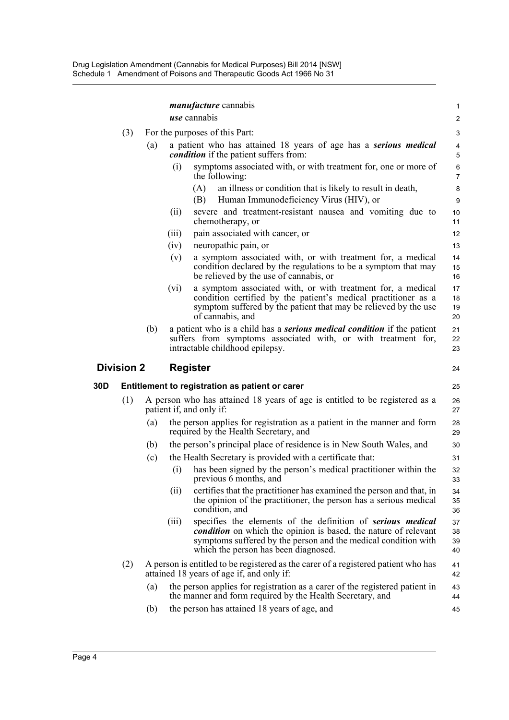|     |                   |     | <i>manufacture</i> cannabis                                                                                                                                                                                                                              | 1                    |  |
|-----|-------------------|-----|----------------------------------------------------------------------------------------------------------------------------------------------------------------------------------------------------------------------------------------------------------|----------------------|--|
|     |                   |     | <i>use</i> cannabis                                                                                                                                                                                                                                      | $\overline{c}$       |  |
|     | (3)               |     | For the purposes of this Part:                                                                                                                                                                                                                           |                      |  |
|     |                   | (a) | a patient who has attained 18 years of age has a serious medical<br><i>condition</i> if the patient suffers from:                                                                                                                                        | 4<br>5               |  |
|     |                   |     | (i)<br>symptoms associated with, or with treatment for, one or more of<br>the following:                                                                                                                                                                 | 6<br>7               |  |
|     |                   |     | an illness or condition that is likely to result in death,<br>(A)                                                                                                                                                                                        | 8                    |  |
|     |                   |     | (B)<br>Human Immunodeficiency Virus (HIV), or                                                                                                                                                                                                            | 9                    |  |
|     |                   |     | severe and treatment-resistant nausea and vomiting due to<br>(ii)<br>chemotherapy, or                                                                                                                                                                    | 10<br>11             |  |
|     |                   |     | pain associated with cancer, or<br>(iii)                                                                                                                                                                                                                 | 12                   |  |
|     |                   |     | (iv)<br>neuropathic pain, or                                                                                                                                                                                                                             | 13                   |  |
|     |                   |     | a symptom associated with, or with treatment for, a medical<br>(v)<br>condition declared by the regulations to be a symptom that may<br>be relieved by the use of cannabis, or                                                                           | 14<br>15<br>16       |  |
|     |                   |     | a symptom associated with, or with treatment for, a medical<br>(vi)<br>condition certified by the patient's medical practitioner as a<br>symptom suffered by the patient that may be relieved by the use<br>of cannabis, and                             | 17<br>18<br>19<br>20 |  |
|     |                   | (b) | a patient who is a child has a <b>serious medical condition</b> if the patient<br>suffers from symptoms associated with, or with treatment for,<br>intractable childhood epilepsy.                                                                       | 21<br>22<br>23       |  |
|     |                   |     |                                                                                                                                                                                                                                                          |                      |  |
|     | <b>Division 2</b> |     | <b>Register</b>                                                                                                                                                                                                                                          | 24                   |  |
| 30D |                   |     | Entitlement to registration as patient or carer                                                                                                                                                                                                          | 25                   |  |
|     | (1)               |     | A person who has attained 18 years of age is entitled to be registered as a<br>patient if, and only if:                                                                                                                                                  | 26<br>27             |  |
|     |                   | (a) | the person applies for registration as a patient in the manner and form<br>required by the Health Secretary, and                                                                                                                                         | 28<br>29             |  |
|     |                   | (b) | the person's principal place of residence is in New South Wales, and                                                                                                                                                                                     | 30                   |  |
|     |                   | (c) | the Health Secretary is provided with a certificate that:                                                                                                                                                                                                | 31                   |  |
|     |                   |     | has been signed by the person's medical practitioner within the<br>(i)<br>previous 6 months, and                                                                                                                                                         | 32<br>33             |  |
|     |                   |     | (ii)<br>certifies that the practitioner has examined the person and that, in<br>the opinion of the practitioner, the person has a serious medical<br>condition, and                                                                                      | 34<br>35<br>36       |  |
|     |                   |     | specifies the elements of the definition of serious medical<br>(iii)<br><i>condition</i> on which the opinion is based, the nature of relevant<br>symptoms suffered by the person and the medical condition with<br>which the person has been diagnosed. | 37<br>38<br>39<br>40 |  |
|     | (2)               |     | A person is entitled to be registered as the carer of a registered patient who has<br>attained 18 years of age if, and only if:                                                                                                                          | 41<br>42             |  |
|     |                   | (a) | the person applies for registration as a carer of the registered patient in<br>the manner and form required by the Health Secretary, and                                                                                                                 | 43<br>44             |  |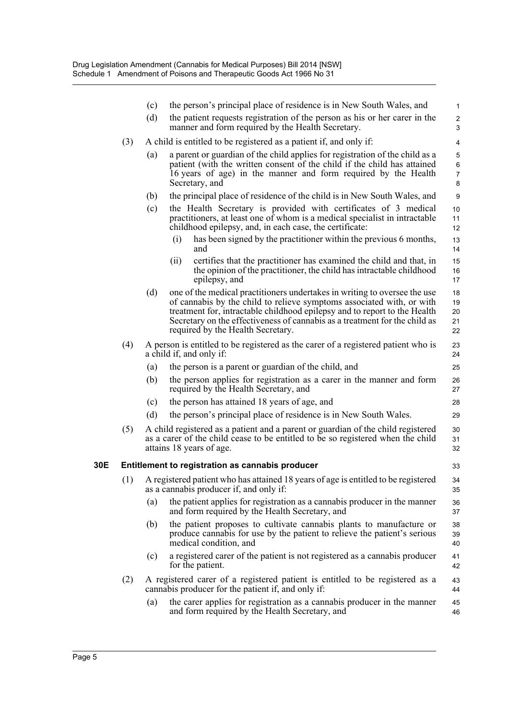|     |     | (c) | the person's principal place of residence is in New South Wales, and                                                                                                                                                                                                                                                                               | $\mathbf{1}$                  |
|-----|-----|-----|----------------------------------------------------------------------------------------------------------------------------------------------------------------------------------------------------------------------------------------------------------------------------------------------------------------------------------------------------|-------------------------------|
|     |     | (d) | the patient requests registration of the person as his or her carer in the<br>manner and form required by the Health Secretary.                                                                                                                                                                                                                    | $\overline{c}$<br>3           |
|     | (3) |     | A child is entitled to be registered as a patient if, and only if:                                                                                                                                                                                                                                                                                 | 4                             |
|     |     | (a) | a parent or guardian of the child applies for registration of the child as a<br>patient (with the written consent of the child if the child has attained<br>16 years of age) in the manner and form required by the Health<br>Secretary, and                                                                                                       | 5<br>6<br>$\overline{7}$<br>8 |
|     |     | (b) | the principal place of residence of the child is in New South Wales, and                                                                                                                                                                                                                                                                           | 9                             |
|     |     | (c) | the Health Secretary is provided with certificates of 3 medical<br>practitioners, at least one of whom is a medical specialist in intractable<br>childhood epilepsy, and, in each case, the certificate:                                                                                                                                           | 10<br>11<br>12                |
|     |     |     | has been signed by the practitioner within the previous 6 months,<br>(1)<br>and                                                                                                                                                                                                                                                                    | 13<br>14                      |
|     |     |     | certifies that the practitioner has examined the child and that, in<br>(ii)<br>the opinion of the practitioner, the child has intractable childhood<br>epilepsy, and                                                                                                                                                                               | 15<br>16<br>17                |
|     |     | (d) | one of the medical practitioners undertakes in writing to oversee the use<br>of cannabis by the child to relieve symptoms associated with, or with<br>treatment for, intractable childhood epilepsy and to report to the Health<br>Secretary on the effectiveness of cannabis as a treatment for the child as<br>required by the Health Secretary. | 18<br>19<br>20<br>21<br>22    |
|     | (4) |     | A person is entitled to be registered as the carer of a registered patient who is<br>a child if, and only if:                                                                                                                                                                                                                                      | 23<br>24                      |
|     |     | (a) | the person is a parent or guardian of the child, and                                                                                                                                                                                                                                                                                               | 25                            |
|     |     | (b) | the person applies for registration as a carer in the manner and form<br>required by the Health Secretary, and                                                                                                                                                                                                                                     | 26<br>27                      |
|     |     | (c) | the person has attained 18 years of age, and                                                                                                                                                                                                                                                                                                       | 28                            |
|     |     | (d) | the person's principal place of residence is in New South Wales.                                                                                                                                                                                                                                                                                   | 29                            |
|     | (5) |     | A child registered as a patient and a parent or guardian of the child registered<br>as a carer of the child cease to be entitled to be so registered when the child<br>attains 18 years of age.                                                                                                                                                    | 30<br>31<br>32                |
| 30E |     |     | Entitlement to registration as cannabis producer                                                                                                                                                                                                                                                                                                   | 33                            |
|     | (1) |     | A registered patient who has attained 18 years of age is entitled to be registered<br>as a cannabis producer if, and only if:                                                                                                                                                                                                                      | 34<br>35                      |
|     |     | (a) | the patient applies for registration as a cannabis producer in the manner<br>and form required by the Health Secretary, and                                                                                                                                                                                                                        | 36<br>37                      |
|     |     | (b) | the patient proposes to cultivate cannabis plants to manufacture or<br>produce cannabis for use by the patient to relieve the patient's serious<br>medical condition, and                                                                                                                                                                          | 38<br>39<br>40                |
|     |     | (c) | a registered carer of the patient is not registered as a cannabis producer<br>for the patient.                                                                                                                                                                                                                                                     | 41<br>42                      |
|     | (2) |     | A registered carer of a registered patient is entitled to be registered as a<br>cannabis producer for the patient if, and only if:                                                                                                                                                                                                                 | 43<br>44                      |
|     |     | (a) | the carer applies for registration as a cannabis producer in the manner<br>and form required by the Health Secretary, and                                                                                                                                                                                                                          | 45<br>46                      |
|     |     |     |                                                                                                                                                                                                                                                                                                                                                    |                               |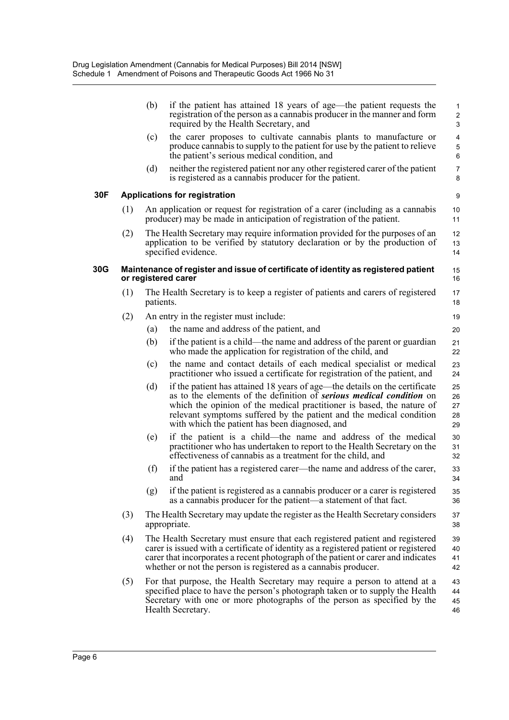|     |     | (b)       | if the patient has attained 18 years of age—the patient requests the<br>registration of the person as a cannabis producer in the manner and form<br>required by the Health Secretary, and                                                                                                                                                            | $\mathbf{1}$<br>$\overline{2}$<br>3 |
|-----|-----|-----------|------------------------------------------------------------------------------------------------------------------------------------------------------------------------------------------------------------------------------------------------------------------------------------------------------------------------------------------------------|-------------------------------------|
|     |     | (c)       | the carer proposes to cultivate cannabis plants to manufacture or<br>produce cannabis to supply to the patient for use by the patient to relieve<br>the patient's serious medical condition, and                                                                                                                                                     | $\overline{4}$<br>$\mathbf 5$<br>6  |
|     |     | (d)       | neither the registered patient nor any other registered carer of the patient<br>is registered as a cannabis producer for the patient.                                                                                                                                                                                                                | $\overline{7}$<br>8                 |
| 30F |     |           | <b>Applications for registration</b>                                                                                                                                                                                                                                                                                                                 | 9                                   |
|     | (1) |           | An application or request for registration of a carer (including as a cannabis<br>producer) may be made in anticipation of registration of the patient.                                                                                                                                                                                              | 10<br>11                            |
|     | (2) |           | The Health Secretary may require information provided for the purposes of an<br>application to be verified by statutory declaration or by the production of<br>specified evidence.                                                                                                                                                                   | 12<br>13<br>14                      |
| 30G |     |           | Maintenance of register and issue of certificate of identity as registered patient<br>or registered carer                                                                                                                                                                                                                                            | 15<br>16                            |
|     | (1) | patients. | The Health Secretary is to keep a register of patients and carers of registered                                                                                                                                                                                                                                                                      | 17<br>18                            |
|     | (2) |           | An entry in the register must include:                                                                                                                                                                                                                                                                                                               | 19                                  |
|     |     | (a)       | the name and address of the patient, and                                                                                                                                                                                                                                                                                                             | 20                                  |
|     |     | (b)       | if the patient is a child—the name and address of the parent or guardian<br>who made the application for registration of the child, and                                                                                                                                                                                                              | 21<br>22                            |
|     |     | (c)       | the name and contact details of each medical specialist or medical<br>practitioner who issued a certificate for registration of the patient, and                                                                                                                                                                                                     | 23<br>24                            |
|     |     | (d)       | if the patient has attained 18 years of age—the details on the certificate<br>as to the elements of the definition of serious medical condition on<br>which the opinion of the medical practitioner is based, the nature of<br>relevant symptoms suffered by the patient and the medical condition<br>with which the patient has been diagnosed, and | 25<br>26<br>27<br>28<br>29          |
|     |     | (e)       | if the patient is a child—the name and address of the medical<br>practitioner who has undertaken to report to the Health Secretary on the<br>effectiveness of cannabis as a treatment for the child, and                                                                                                                                             | 30<br>31<br>32                      |
|     |     | (f)       | if the patient has a registered carer—the name and address of the carer,<br>and                                                                                                                                                                                                                                                                      | 33<br>34                            |
|     |     | (g)       | if the patient is registered as a cannabis producer or a carer is registered<br>as a cannabis producer for the patient—a statement of that fact.                                                                                                                                                                                                     | 35<br>36                            |
|     | (3) |           | The Health Secretary may update the register as the Health Secretary considers<br>appropriate.                                                                                                                                                                                                                                                       | 37<br>38                            |
|     | (4) |           | The Health Secretary must ensure that each registered patient and registered<br>carer is issued with a certificate of identity as a registered patient or registered<br>carer that incorporates a recent photograph of the patient or carer and indicates<br>whether or not the person is registered as a cannabis producer.                         | 39<br>40<br>41<br>42                |
|     | (5) |           | For that purpose, the Health Secretary may require a person to attend at a<br>specified place to have the person's photograph taken or to supply the Health<br>Secretary with one or more photographs of the person as specified by the<br>Health Secretary.                                                                                         | 43<br>44<br>45<br>46                |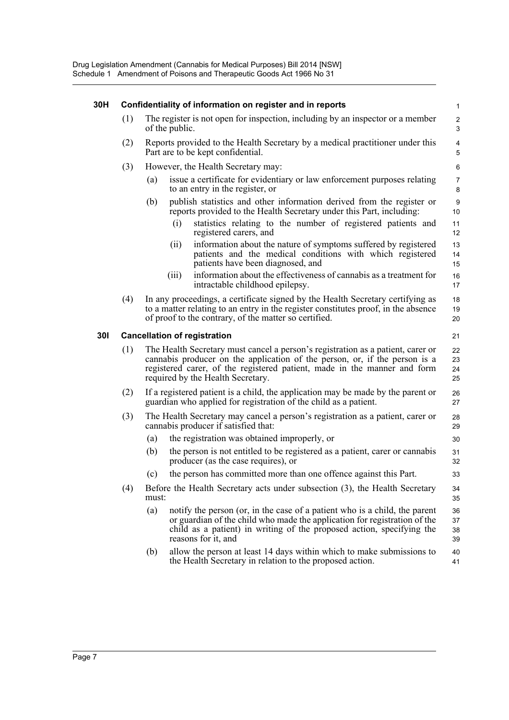| 30H        | Confidentiality of information on register and in reports |                                                                                                                                                                                                                                                                                |                                                                                                                                                                                                                                                         |                              |  |  |  |  |
|------------|-----------------------------------------------------------|--------------------------------------------------------------------------------------------------------------------------------------------------------------------------------------------------------------------------------------------------------------------------------|---------------------------------------------------------------------------------------------------------------------------------------------------------------------------------------------------------------------------------------------------------|------------------------------|--|--|--|--|
|            | (1)                                                       |                                                                                                                                                                                                                                                                                | The register is not open for inspection, including by an inspector or a member<br>of the public.                                                                                                                                                        | $\overline{\mathbf{c}}$<br>3 |  |  |  |  |
|            | (2)                                                       | Reports provided to the Health Secretary by a medical practitioner under this<br>Part are to be kept confidential.                                                                                                                                                             |                                                                                                                                                                                                                                                         |                              |  |  |  |  |
|            | (3)                                                       |                                                                                                                                                                                                                                                                                | However, the Health Secretary may:                                                                                                                                                                                                                      | $\,6$                        |  |  |  |  |
|            |                                                           | (a)                                                                                                                                                                                                                                                                            | issue a certificate for evidentiary or law enforcement purposes relating<br>to an entry in the register, or                                                                                                                                             | $\overline{7}$<br>8          |  |  |  |  |
|            |                                                           | (b)                                                                                                                                                                                                                                                                            | publish statistics and other information derived from the register or<br>reports provided to the Health Secretary under this Part, including:                                                                                                           | 9<br>10                      |  |  |  |  |
|            |                                                           |                                                                                                                                                                                                                                                                                | statistics relating to the number of registered patients and<br>(i)<br>registered carers, and                                                                                                                                                           | 11<br>12                     |  |  |  |  |
|            |                                                           |                                                                                                                                                                                                                                                                                | information about the nature of symptoms suffered by registered<br>(ii)<br>patients and the medical conditions with which registered<br>patients have been diagnosed, and                                                                               | 13<br>14<br>15               |  |  |  |  |
|            |                                                           |                                                                                                                                                                                                                                                                                | information about the effectiveness of cannabis as a treatment for<br>(iii)<br>intractable childhood epilepsy.                                                                                                                                          | 16<br>17                     |  |  |  |  |
|            | (4)                                                       | In any proceedings, a certificate signed by the Health Secretary certifying as<br>18<br>to a matter relating to an entry in the register constitutes proof, in the absence<br>of proof to the contrary, of the matter so certified.<br>20                                      |                                                                                                                                                                                                                                                         |                              |  |  |  |  |
| <b>301</b> | <b>Cancellation of registration</b>                       |                                                                                                                                                                                                                                                                                |                                                                                                                                                                                                                                                         |                              |  |  |  |  |
|            | (1)                                                       | The Health Secretary must cancel a person's registration as a patient, carer or<br>cannabis producer on the application of the person, or, if the person is a<br>registered carer, of the registered patient, made in the manner and form<br>required by the Health Secretary. |                                                                                                                                                                                                                                                         |                              |  |  |  |  |
|            | (2)                                                       | If a registered patient is a child, the application may be made by the parent or<br>guardian who applied for registration of the child as a patient.                                                                                                                           |                                                                                                                                                                                                                                                         |                              |  |  |  |  |
|            | (3)                                                       |                                                                                                                                                                                                                                                                                | The Health Secretary may cancel a person's registration as a patient, carer or<br>cannabis producer if satisfied that:                                                                                                                                  | 28<br>29                     |  |  |  |  |
|            |                                                           | (a)                                                                                                                                                                                                                                                                            | the registration was obtained improperly, or                                                                                                                                                                                                            | 30                           |  |  |  |  |
|            |                                                           | (b)                                                                                                                                                                                                                                                                            | the person is not entitled to be registered as a patient, carer or cannabis<br>producer (as the case requires), or                                                                                                                                      | 31<br>32                     |  |  |  |  |
|            |                                                           | (c)                                                                                                                                                                                                                                                                            | the person has committed more than one offence against this Part.                                                                                                                                                                                       | 33                           |  |  |  |  |
|            | (4)                                                       | must:                                                                                                                                                                                                                                                                          | Before the Health Secretary acts under subsection (3), the Health Secretary                                                                                                                                                                             | 34<br>35                     |  |  |  |  |
|            |                                                           | (a)                                                                                                                                                                                                                                                                            | notify the person (or, in the case of a patient who is a child, the parent<br>or guardian of the child who made the application for registration of the<br>child as a patient) in writing of the proposed action, specifying the<br>reasons for it, and | 36<br>37<br>38<br>39         |  |  |  |  |
|            |                                                           | (b)                                                                                                                                                                                                                                                                            | allow the person at least 14 days within which to make submissions to<br>the Health Secretary in relation to the proposed action.                                                                                                                       | 40<br>41                     |  |  |  |  |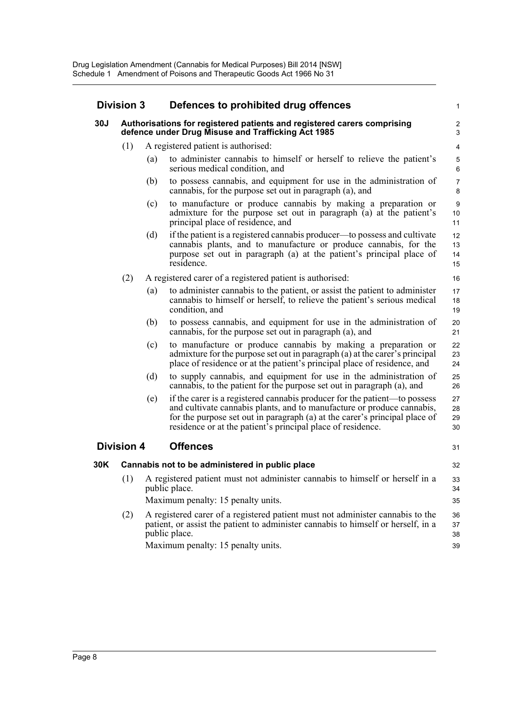| <b>Division 3</b>    |                   |     | Defences to prohibited drug offences                                                                                                                                                                                                                                                             |                      |  |  |
|----------------------|-------------------|-----|--------------------------------------------------------------------------------------------------------------------------------------------------------------------------------------------------------------------------------------------------------------------------------------------------|----------------------|--|--|
| 30J                  |                   |     | Authorisations for registered patients and registered carers comprising<br>defence under Drug Misuse and Trafficking Act 1985                                                                                                                                                                    |                      |  |  |
|                      | (1)               |     | A registered patient is authorised:                                                                                                                                                                                                                                                              | 4                    |  |  |
|                      |                   | (a) | to administer cannabis to himself or herself to relieve the patient's<br>serious medical condition, and                                                                                                                                                                                          | 5<br>6               |  |  |
|                      |                   | (b) | to possess cannabis, and equipment for use in the administration of<br>cannabis, for the purpose set out in paragraph (a), and                                                                                                                                                                   | $\overline{7}$<br>8  |  |  |
|                      |                   | (c) | to manufacture or produce cannabis by making a preparation or<br>admixture for the purpose set out in paragraph (a) at the patient's<br>principal place of residence, and                                                                                                                        | 9<br>10<br>11        |  |  |
|                      |                   | (d) | if the patient is a registered cannabis producer—to possess and cultivate<br>cannabis plants, and to manufacture or produce cannabis, for the<br>purpose set out in paragraph (a) at the patient's principal place of<br>residence.                                                              | 12<br>13<br>14<br>15 |  |  |
|                      | (2)               |     | A registered carer of a registered patient is authorised:                                                                                                                                                                                                                                        | 16                   |  |  |
|                      |                   | (a) | to administer cannabis to the patient, or assist the patient to administer<br>cannabis to himself or herself, to relieve the patient's serious medical<br>condition, and                                                                                                                         | 17<br>18<br>19       |  |  |
|                      |                   | (b) | to possess cannabis, and equipment for use in the administration of<br>cannabis, for the purpose set out in paragraph (a), and                                                                                                                                                                   | 20<br>21             |  |  |
|                      |                   | (c) | to manufacture or produce cannabis by making a preparation or<br>admixture for the purpose set out in paragraph (a) at the carer's principal<br>place of residence or at the patient's principal place of residence, and                                                                         | 22<br>23<br>24       |  |  |
|                      |                   | (d) | to supply cannabis, and equipment for use in the administration of<br>cannabis, to the patient for the purpose set out in paragraph (a), and                                                                                                                                                     | 25<br>26             |  |  |
|                      |                   | (e) | if the carer is a registered cannabis producer for the patient—to possess<br>and cultivate cannabis plants, and to manufacture or produce cannabis,<br>for the purpose set out in paragraph (a) at the carer's principal place of<br>residence or at the patient's principal place of residence. | 27<br>28<br>29<br>30 |  |  |
|                      | <b>Division 4</b> |     | <b>Offences</b>                                                                                                                                                                                                                                                                                  | 31                   |  |  |
| 30K                  |                   |     | Cannabis not to be administered in public place                                                                                                                                                                                                                                                  | 32                   |  |  |
|                      |                   |     | (1) A registered patient must not administer cannabis to himself or herself in a<br>public place.<br>Maximum penalty: 15 penalty units.                                                                                                                                                          | 33<br>34<br>35       |  |  |
| (2)<br>public place. |                   |     | A registered carer of a registered patient must not administer cannabis to the<br>patient, or assist the patient to administer cannabis to himself or herself, in a<br>Maximum penalty: 15 penalty units.                                                                                        | 36<br>37<br>38<br>39 |  |  |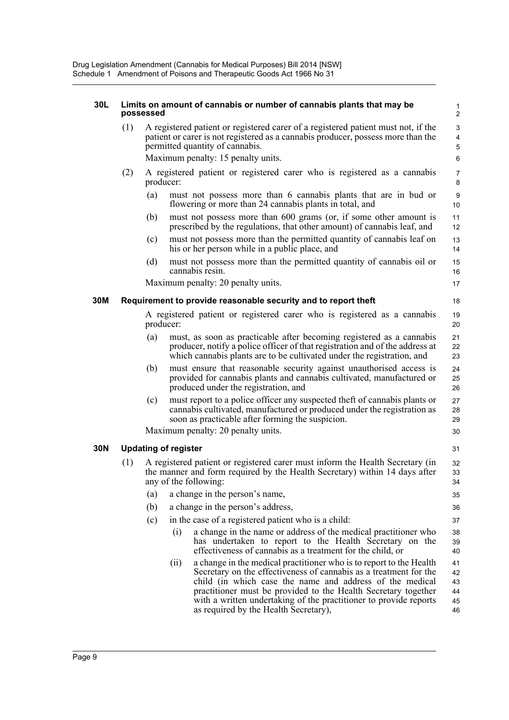#### **30L Limits on amount of cannabis or number of cannabis plants that may be possessed** (1) A registered patient or registered carer of a registered patient must not, if the patient or carer is not registered as a cannabis producer, possess more than the permitted quantity of cannabis. Maximum penalty: 15 penalty units. (2) A registered patient or registered carer who is registered as a cannabis producer: (a) must not possess more than 6 cannabis plants that are in bud or flowering or more than 24 cannabis plants in total, and (b) must not possess more than 600 grams (or, if some other amount is prescribed by the regulations, that other amount) of cannabis leaf, and (c) must not possess more than the permitted quantity of cannabis leaf on his or her person while in a public place, and (d) must not possess more than the permitted quantity of cannabis oil or cannabis resin. Maximum penalty: 20 penalty units. **30M Requirement to provide reasonable security and to report theft** A registered patient or registered carer who is registered as a cannabis producer: (a) must, as soon as practicable after becoming registered as a cannabis producer, notify a police officer of that registration and of the address at which cannabis plants are to be cultivated under the registration, and (b) must ensure that reasonable security against unauthorised access is provided for cannabis plants and cannabis cultivated, manufactured or produced under the registration, and (c) must report to a police officer any suspected theft of cannabis plants or cannabis cultivated, manufactured or produced under the registration as soon as practicable after forming the suspicion. Maximum penalty: 20 penalty units. **30N Updating of register** (1) A registered patient or registered carer must inform the Health Secretary (in the manner and form required by the Health Secretary) within 14 days after any of the following: (a) a change in the person's name, (b) a change in the person's address, (c) in the case of a registered patient who is a child: (i) a change in the name or address of the medical practitioner who has undertaken to report to the Health Secretary on the effectiveness of cannabis as a treatment for the child, or (ii) a change in the medical practitioner who is to report to the Health Secretary on the effectiveness of cannabis as a treatment for the child (in which case the name and address of the medical practitioner must be provided to the Health Secretary together 1 2 3 4 5 6 7 8  $\alpha$ 10 11 12 13 14 15 16 17 18 19 20  $21$ 22 23 24 25 26 27 28 29 30 31 32 33 34 35 36 37 38 39 40 41 42 43 44

with a written undertaking of the practitioner to provide reports

45 46

as required by the Health Secretary),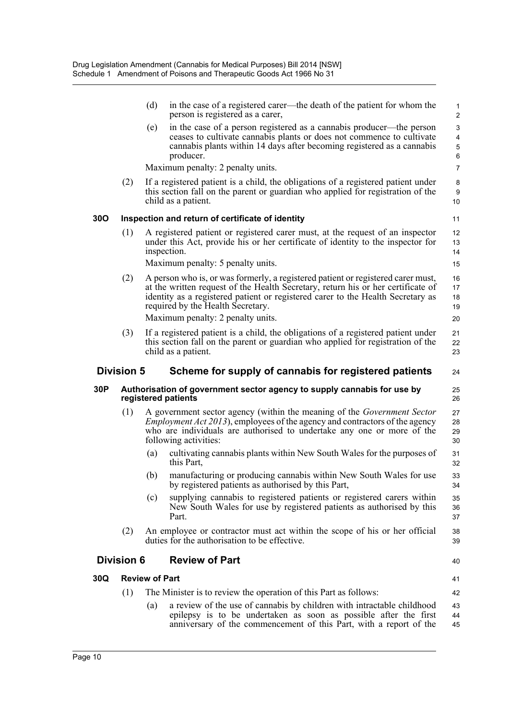|     |                   | (d)                   | in the case of a registered carer—the death of the patient for whom the<br>person is registered as a carer,                                                                                                                                                                                  | $\mathbf{1}$<br>2                       |
|-----|-------------------|-----------------------|----------------------------------------------------------------------------------------------------------------------------------------------------------------------------------------------------------------------------------------------------------------------------------------------|-----------------------------------------|
|     |                   | (e)                   | in the case of a person registered as a cannabis producer—the person<br>ceases to cultivate cannabis plants or does not commence to cultivate<br>cannabis plants within 14 days after becoming registered as a cannabis<br>producer.                                                         | 3<br>$\overline{4}$<br>$\mathbf 5$<br>6 |
|     |                   |                       | Maximum penalty: 2 penalty units.                                                                                                                                                                                                                                                            | $\overline{7}$                          |
|     | (2)               |                       | If a registered patient is a child, the obligations of a registered patient under<br>this section fall on the parent or guardian who applied for registration of the<br>child as a patient.                                                                                                  | 8<br>9<br>10                            |
| 30O |                   |                       | Inspection and return of certificate of identity                                                                                                                                                                                                                                             | 11                                      |
|     | (1)               |                       | A registered patient or registered carer must, at the request of an inspector<br>under this Act, provide his or her certificate of identity to the inspector for<br>inspection.                                                                                                              | 12<br>13<br>14                          |
|     |                   |                       | Maximum penalty: 5 penalty units.                                                                                                                                                                                                                                                            | 15                                      |
|     | (2)               |                       | A person who is, or was formerly, a registered patient or registered carer must,<br>at the written request of the Health Secretary, return his or her certificate of<br>identity as a registered patient or registered carer to the Health Secretary as<br>required by the Health Secretary. | 16<br>17<br>18<br>19                    |
|     |                   |                       | Maximum penalty: 2 penalty units.                                                                                                                                                                                                                                                            | 20                                      |
|     | (3)               |                       | If a registered patient is a child, the obligations of a registered patient under<br>this section fall on the parent or guardian who applied for registration of the<br>child as a patient.                                                                                                  | 21<br>22<br>23                          |
|     | <b>Division 5</b> |                       | Scheme for supply of cannabis for registered patients                                                                                                                                                                                                                                        | 24                                      |
| 30P |                   |                       | Authorisation of government sector agency to supply cannabis for use by<br>registered patients                                                                                                                                                                                               | 25<br>26                                |
|     | (1)               |                       | A government sector agency (within the meaning of the <i>Government Sector</i><br><i>Employment Act 2013</i> ), employees of the agency and contractors of the agency<br>who are individuals are authorised to undertake any one or more of the<br>following activities:                     | 27<br>28<br>29<br>30                    |
|     |                   | (a)                   | cultivating cannabis plants within New South Wales for the purposes of<br>this Part,                                                                                                                                                                                                         | 31<br>32                                |
|     |                   | (b)                   | manufacturing or producing cannabis within New South Wales for use<br>by registered patients as authorised by this Part,                                                                                                                                                                     | 33<br>34                                |
|     |                   | (c)                   | supplying cannabis to registered patients or registered carers within<br>New South Wales for use by registered patients as authorised by this<br>Part.                                                                                                                                       | 35<br>36<br>37                          |
|     | (2)               |                       | An employee or contractor must act within the scope of his or her official<br>duties for the authorisation to be effective.                                                                                                                                                                  | 38<br>39                                |
|     | <b>Division 6</b> |                       | <b>Review of Part</b>                                                                                                                                                                                                                                                                        | 40                                      |
| 30Q |                   | <b>Review of Part</b> |                                                                                                                                                                                                                                                                                              | 41                                      |
|     | (1)               |                       | The Minister is to review the operation of this Part as follows:                                                                                                                                                                                                                             | 42                                      |
|     |                   | (a)                   | a review of the use of cannabis by children with intractable childhood<br>epilepsy is to be undertaken as soon as possible after the first<br>anniversary of the commencement of this Part, with a report of the                                                                             | 43<br>44<br>45                          |
|     |                   |                       |                                                                                                                                                                                                                                                                                              |                                         |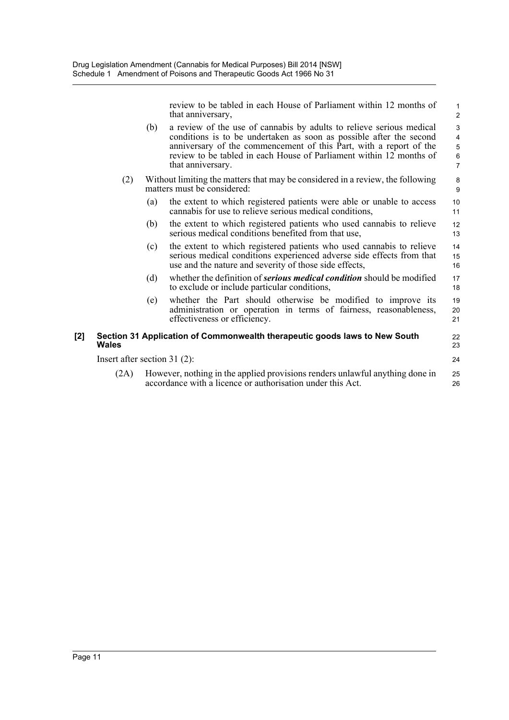review to be tabled in each House of Parliament within 12 months of that anniversary,

22 23 24

- (b) a review of the use of cannabis by adults to relieve serious medical conditions is to be undertaken as soon as possible after the second anniversary of the commencement of this Part, with a report of the review to be tabled in each House of Parliament within 12 months of that anniversary.
- (2) Without limiting the matters that may be considered in a review, the following matters must be considered:
	- (a) the extent to which registered patients were able or unable to access cannabis for use to relieve serious medical conditions,
	- (b) the extent to which registered patients who used cannabis to relieve serious medical conditions benefited from that use,
	- (c) the extent to which registered patients who used cannabis to relieve serious medical conditions experienced adverse side effects from that use and the nature and severity of those side effects,
	- (d) whether the definition of *serious medical condition* should be modified to exclude or include particular conditions, 17 18
	- (e) whether the Part should otherwise be modified to improve its administration or operation in terms of fairness, reasonableness, effectiveness or efficiency. 19 20 21
- **[2] Section 31 Application of Commonwealth therapeutic goods laws to New South Wales**

Insert after section 31 (2):

(2A) However, nothing in the applied provisions renders unlawful anything done in accordance with a licence or authorisation under this Act. 25 26